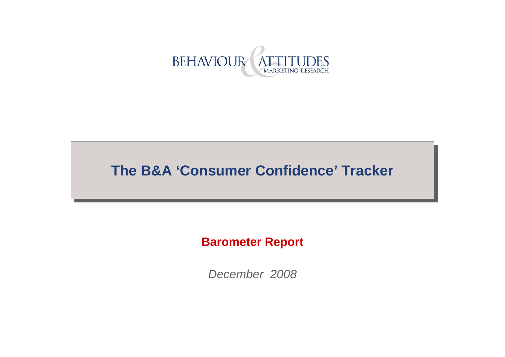

# **The B&A 'Consumer Confidence' Tracker**

#### **Barometer Report**

*December 2008*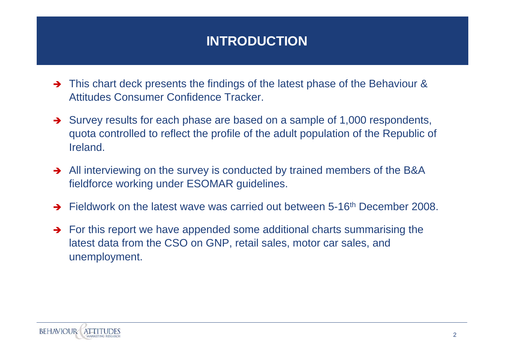# **INTRODUCTION**

- This chart deck presents the findings of the latest phase of the Behaviour & Attitudes Consumer Confidence Tracker.
- $\rightarrow$  Survey results for each phase are based on a sample of 1,000 respondents, quota controlled to reflect the profile of the adult population of the Republic of Ireland.
- $\rightarrow$  All interviewing on the survey is conducted by trained members of the B&A fieldforce working under ESOMAR guidelines.
- $\rightarrow$ Fieldwork on the latest wave was carried out between 5-16th December 2008.
- $\rightarrow$  For this report we have appended some additional charts summarising the latest data from the CSO on GNP, retail sales, motor car sales, and unemployment.

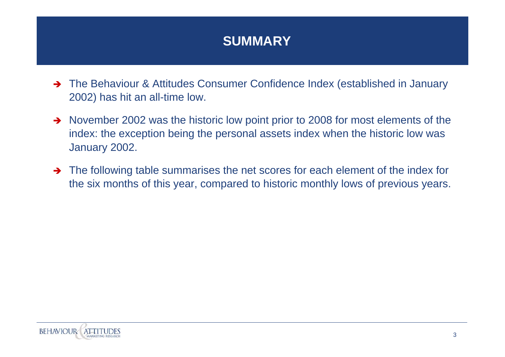## **SUMMARY**

- → The Behaviour & Attitudes Consumer Confidence Index (established in January 2002) has hit an all-time low.
- $\rightarrow$  November 2002 was the historic low point prior to 2008 for most elements of the index: the exception being the personal assets index when the historic low was January 2002.
- $\rightarrow$  The following table summarises the net scores for each element of the index for the six months of this year, compared to historic monthly lows of previous years.

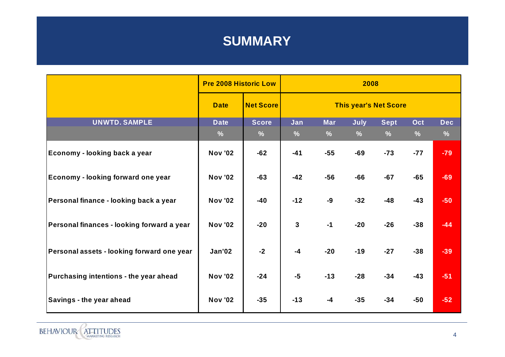#### **SUMMARY**

|                                            | <b>Pre 2008 Historic Low</b> |                               | 2008                         |                             |                       |                              |                      |                             |
|--------------------------------------------|------------------------------|-------------------------------|------------------------------|-----------------------------|-----------------------|------------------------------|----------------------|-----------------------------|
|                                            | <b>Date</b>                  | <b>Net Score</b>              | <b>This year's Net Score</b> |                             |                       |                              |                      |                             |
| <b>UNWTD. SAMPLE</b>                       | <b>Date</b><br>$\frac{0}{0}$ | <b>Score</b><br>$\frac{9}{6}$ | Jan<br>$\frac{9}{6}$         | <b>Mar</b><br>$\frac{9}{6}$ | July<br>$\frac{9}{6}$ | <b>Sept</b><br>$\frac{9}{6}$ | Oct<br>$\frac{9}{6}$ | <b>Dec</b><br>$\frac{9}{6}$ |
| Economy - looking back a year              | <b>Nov '02</b>               | $-62$                         | $-41$                        | $-55$                       | $-69$                 | $-73$                        | $-77$                | $-79$                       |
| Economy - looking forward one year         | <b>Nov '02</b>               | $-63$                         | $-42$                        | $-56$                       | $-66$                 | $-67$                        | $-65$                | $-69$                       |
| Personal finance - looking back a year     | <b>Nov '02</b>               | $-40$                         | $-12$                        | -9                          | $-32$                 | $-48$                        | $-43$                | $-50$                       |
| Personal finances - looking forward a year | <b>Nov '02</b>               | $-20$                         | $\mathbf{3}$                 | $-1$                        | $-20$                 | $-26$                        | $-38$                | $-44$                       |
| Personal assets - looking forward one year | <b>Jan'02</b>                | $-2$                          | $-4$                         | $-20$                       | $-19$                 | $-27$                        | $-38$                | $-39$                       |
| Purchasing intentions - the year ahead     | <b>Nov '02</b>               | $-24$                         | $-5$                         | $-13$                       | $-28$                 | $-34$                        | $-43$                | $-51$                       |
| Savings - the year ahead                   | <b>Nov '02</b>               | $-35$                         | $-13$                        | $-4$                        | $-35$                 | $-34$                        | $-50$                | $-52$                       |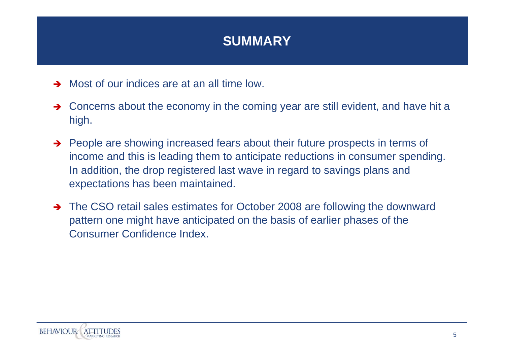#### **SUMMARY**

- $\rightarrow$  Most of our indices are at an all time low.
- $\rightarrow$  Concerns about the economy in the coming year are still evident, and have hit a high.
- $\rightarrow$  People are showing increased fears about their future prospects in terms of income and this is leading them to anticipate reductions in consumer spending. In addition, the drop registered last wave in regard to savings plans and expectations has been maintained.
- The CSO retail sales estimates for October 2008 are following the downward pattern one might have anticipated on the basis of earlier phases of the Consumer Confidence Index.

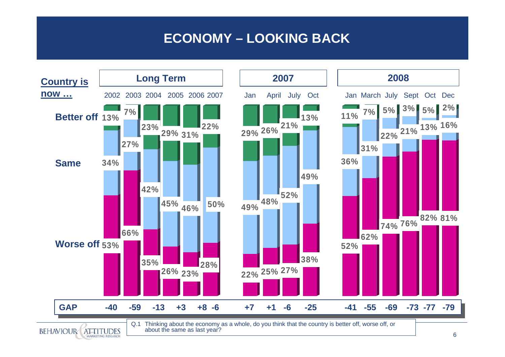## **ECONOMY – LOOKING BACK**

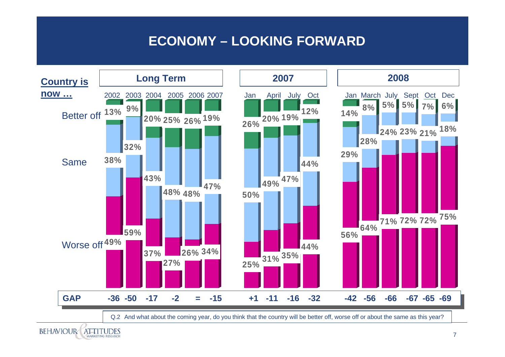## **ECONOMY – LOOKING FORWARD**

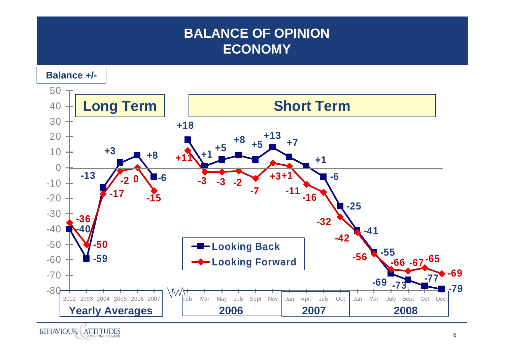## **BALANCE OF OPINIONECONOMY**

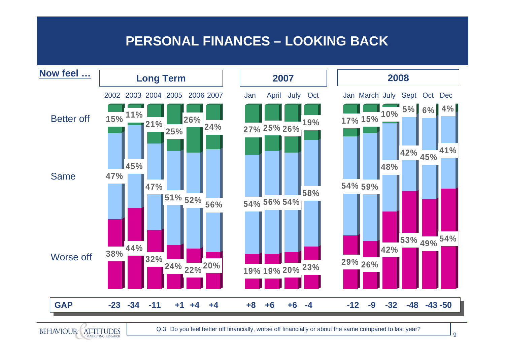#### **PERSONAL FINANCES – LOOKING BACK**



**BEHAVIOUR** 

**ATTITUDES** 

Q.3 Do you feel better off financially, worse off financially or about the same compared to last year?

9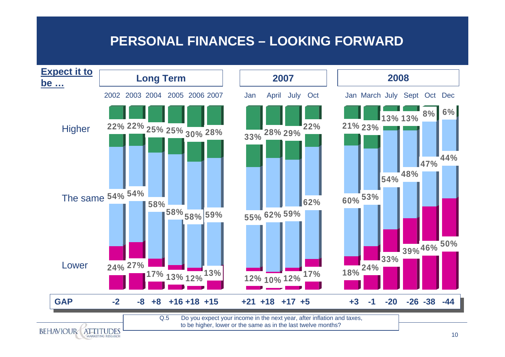#### **PERSONAL FINANCES – LOOKING FORWARD**

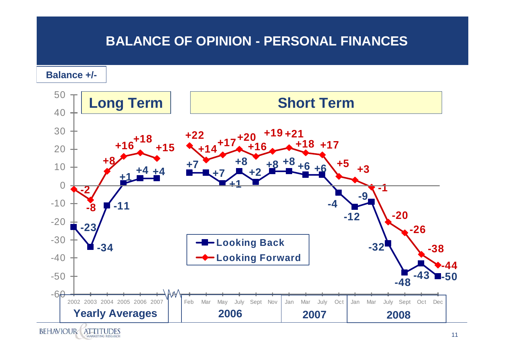#### **BALANCE OF OPINION - PERSONAL FINANCES**

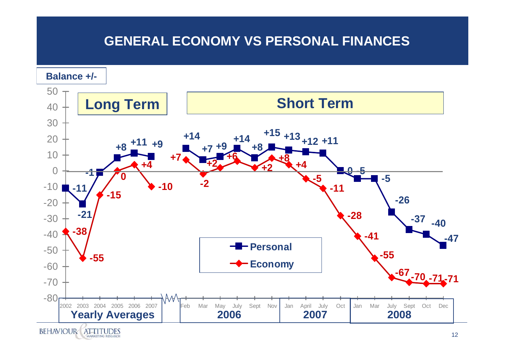## **GENERAL ECONOMY VS PERSONAL FINANCES**

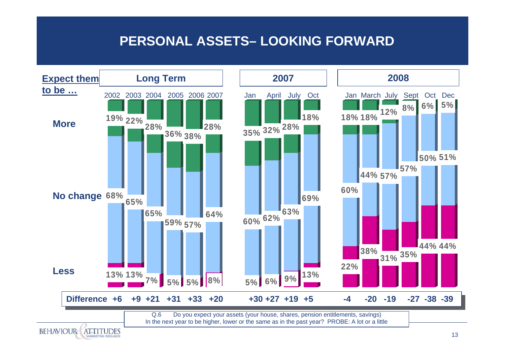#### **PERSONAL ASSETS– LOOKING FORWARD**

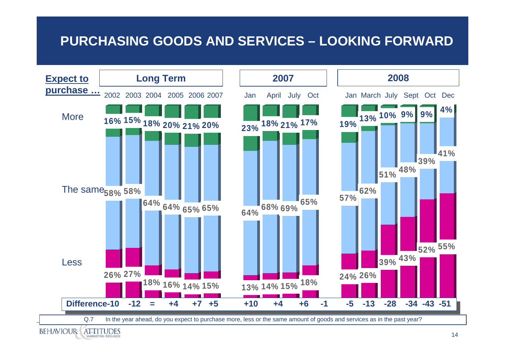## **PURCHASING GOODS AND SERVICES – LOOKING FORWARD**

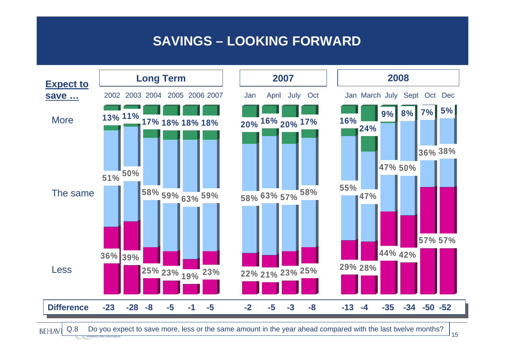#### **SAVINGS – LOOKING FORWARD**



Q.8 Do you expect to save more, less or the same amount in the year ahead compared with the last twelve months?

**BEHAVI**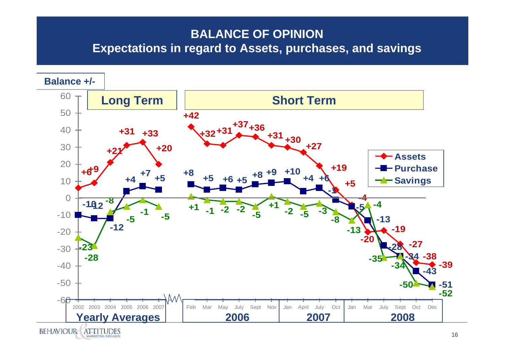#### **BALANCE OF OPINIONExpectations in regard to Assets, purchases, and savings**